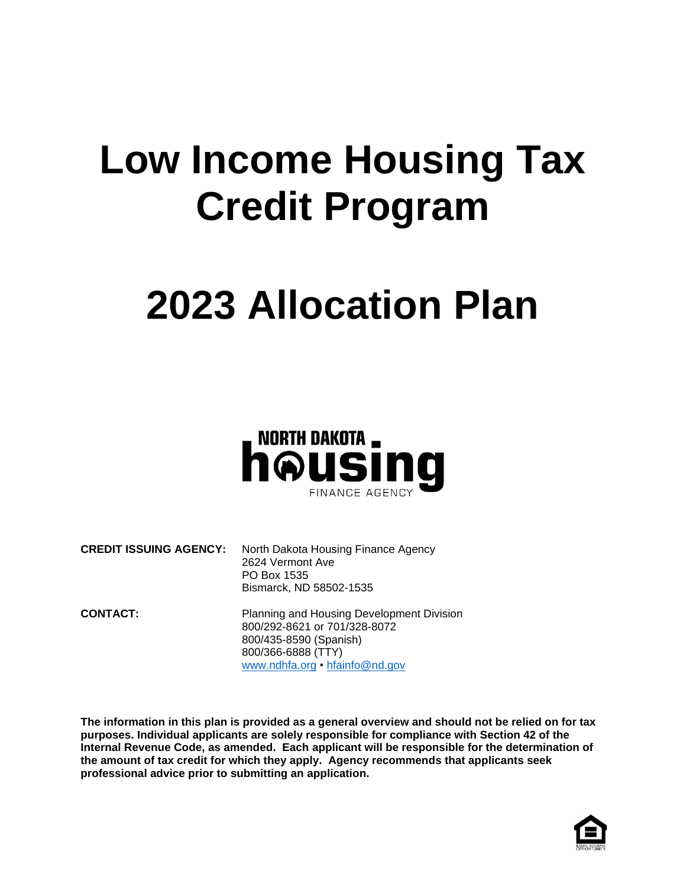## **Low Income Housing Tax Credit Program**

# **2023 Allocation Plan**



**CREDIT ISSUING AGENCY:** North Dakota Housing Finance Agency 2624 Vermont Ave PO Box 1535 Bismarck, ND 58502-1535

**CONTACT:** Planning and Housing Development Division 800/292-8621 or 701/328-8072 800/435-8590 (Spanish) 800/366-6888 (TTY) [www.ndhfa.org](http://www.ndhfa.org/) • [hfainfo@nd.gov](mailto:hfainfo@nd.gov)

**The information in this plan is provided as a general overview and should not be relied on for tax purposes. Individual applicants are solely responsible for compliance with Section 42 of the Internal Revenue Code, as amended. Each applicant will be responsible for the determination of the amount of tax credit for which they apply. Agency recommends that applicants seek professional advice prior to submitting an application.**

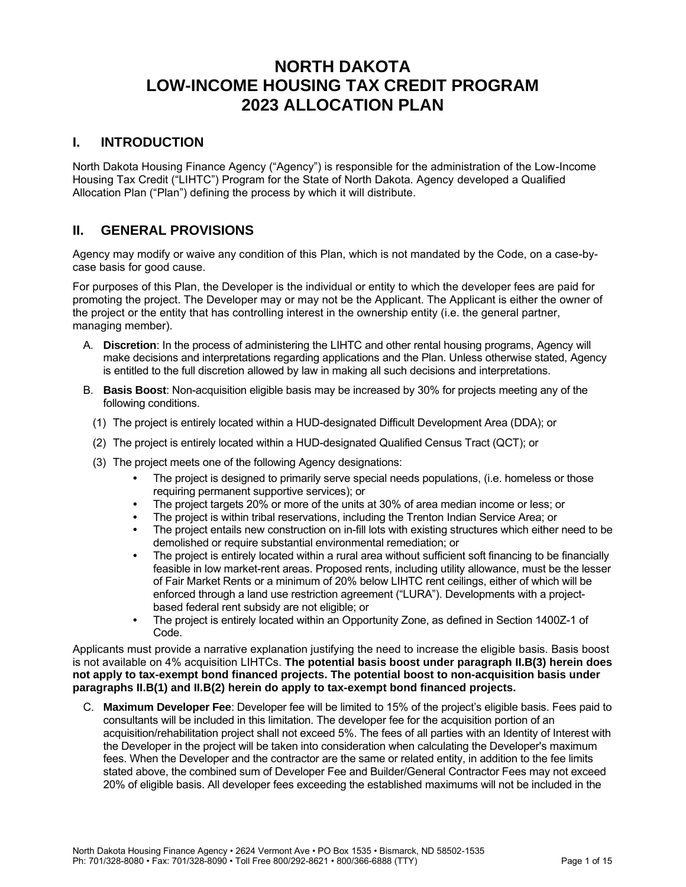## **NORTH DAKOTA LOW-INCOME HOUSING TAX CREDIT PROGRAM 2023 ALLOCATION PLAN**

## **I. INTRODUCTION**

North Dakota Housing Finance Agency ("Agency") is responsible for the administration of the Low-Income Housing Tax Credit ("LIHTC") Program for the State of North Dakota. Agency developed a Qualified Allocation Plan ("Plan") defining the process by which it will distribute.

## **II. GENERAL PROVISIONS**

Agency may modify or waive any condition of this Plan, which is not mandated by the Code, on a case-bycase basis for good cause.

For purposes of this Plan, the Developer is the individual or entity to which the developer fees are paid for promoting the project. The Developer may or may not be the Applicant. The Applicant is either the owner of the project or the entity that has controlling interest in the ownership entity (i.e. the general partner, managing member).

- A. **Discretion**: In the process of administering the LIHTC and other rental housing programs, Agency will make decisions and interpretations regarding applications and the Plan. Unless otherwise stated, Agency is entitled to the full discretion allowed by law in making all such decisions and interpretations.
- <span id="page-1-2"></span><span id="page-1-1"></span><span id="page-1-0"></span>B. **Basis Boost**: Non-acquisition eligible basis may be increased by 30% for projects meeting any of the following conditions.
	- (1) The project is entirely located within a HUD-designated Difficult Development Area (DDA); or
	- (2) The project is entirely located within a HUD-designated Qualified Census Tract (QCT); or
	- (3) The project meets one of the following Agency designations:
		- **•** The project is designed to primarily serve special needs populations, (i.e. homeless or those requiring permanent supportive services); or
		- **•** The project targets 20% or more of the units at 30% of area median income or less; or
		- **•** The project is within tribal reservations, including the Trenton Indian Service Area; or
		- **•** The project entails new construction on in-fill lots with existing structures which either need to be demolished or require substantial environmental remediation; or
		- **•** The project is entirely located within a rural area without sufficient soft financing to be financially feasible in low market-rent areas. Proposed rents, including utility allowance, must be the lesser of Fair Market Rents or a minimum of 20% below LIHTC rent ceilings, either of which will be enforced through a land use restriction agreement ("LURA"). Developments with a projectbased federal rent subsidy are not eligible; or
		- **•** The project is entirely located within an Opportunity Zone, as defined in Section 1400Z-1 of Code.

Applicants must provide a narrative explanation justifying the need to increase the eligible basis. Basis boost is not available on 4% acquisition LIHTCs. **The potential basis boost under paragraph [II.B\(3\)](#page-1-0) herein does not apply to tax-exempt bond financed projects. The potential boost to non-acquisition basis under paragraphs [II.B\(1\)](#page-1-1) and [II.B\(2\)](#page-1-2) herein do apply to tax-exempt bond financed projects.**

C. **Maximum Developer Fee**: Developer fee will be limited to 15% of the project's eligible basis. Fees paid to consultants will be included in this limitation. The developer fee for the acquisition portion of an acquisition/rehabilitation project shall not exceed 5%. The fees of all parties with an Identity of Interest with the Developer in the project will be taken into consideration when calculating the Developer's maximum fees. When the Developer and the contractor are the same or related entity, in addition to the fee limits stated above, the combined sum of Developer Fee and Builder/General Contractor Fees may not exceed 20% of eligible basis. All developer fees exceeding the established maximums will not be included in the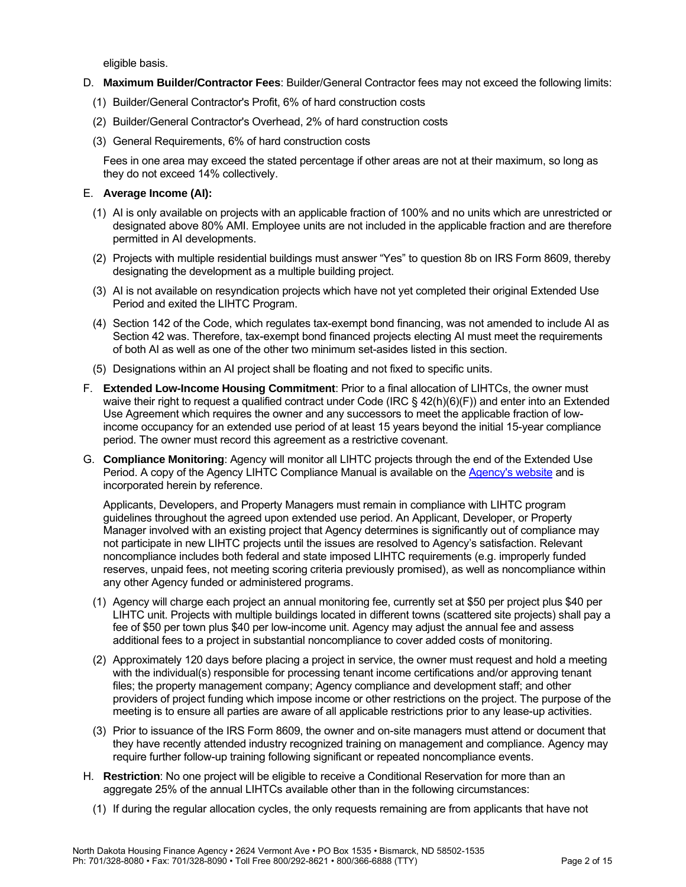eligible basis.

- D. **Maximum Builder/Contractor Fees**: Builder/General Contractor fees may not exceed the following limits:
	- (1) Builder/General Contractor's Profit, 6% of hard construction costs
	- (2) Builder/General Contractor's Overhead, 2% of hard construction costs
	- (3) General Requirements, 6% of hard construction costs

Fees in one area may exceed the stated percentage if other areas are not at their maximum, so long as they do not exceed 14% collectively.

#### E. **Average Income (AI):**

- (1) AI is only available on projects with an applicable fraction of 100% and no units which are unrestricted or designated above 80% AMI. Employee units are not included in the applicable fraction and are therefore permitted in AI developments.
- (2) Projects with multiple residential buildings must answer "Yes" to question 8b on IRS Form 8609, thereby designating the development as a multiple building project.
- (3) AI is not available on resyndication projects which have not yet completed their original Extended Use Period and exited the LIHTC Program.
- (4) Section 142 of the Code, which regulates tax-exempt bond financing, was not amended to include AI as Section 42 was. Therefore, tax-exempt bond financed projects electing AI must meet the requirements of both AI as well as one of the other two minimum set-asides listed in this section.
- (5) Designations within an AI project shall be floating and not fixed to specific units.
- F. **Extended Low-Income Housing Commitment**: Prior to a final allocation of LIHTCs, the owner must waive their right to request a qualified contract under Code (IRC § 42(h)(6)(F)) and enter into an Extended Use Agreement which requires the owner and any successors to meet the applicable fraction of lowincome occupancy for an extended use period of at least 15 years beyond the initial 15-year compliance period. The owner must record this agreement as a restrictive covenant.
- G. **Compliance Monitoring**: Agency will monitor all LIHTC projects through the end of the Extended Use Period. A copy of the Agency LIHTC Compliance Manual is available on the [Agency's website](https://www.ndhfa.org/) and is incorporated herein by reference.

Applicants, Developers, and Property Managers must remain in compliance with LIHTC program guidelines throughout the agreed upon extended use period. An Applicant, Developer, or Property Manager involved with an existing project that Agency determines is significantly out of compliance may not participate in new LIHTC projects until the issues are resolved to Agency's satisfaction. Relevant noncompliance includes both federal and state imposed LIHTC requirements (e.g. improperly funded reserves, unpaid fees, not meeting scoring criteria previously promised), as well as noncompliance within any other Agency funded or administered programs.

- (1) Agency will charge each project an annual monitoring fee, currently set at \$50 per project plus \$40 per LIHTC unit. Projects with multiple buildings located in different towns (scattered site projects) shall pay a fee of \$50 per town plus \$40 per low-income unit. Agency may adjust the annual fee and assess additional fees to a project in substantial noncompliance to cover added costs of monitoring.
- (2) Approximately 120 days before placing a project in service, the owner must request and hold a meeting with the individual(s) responsible for processing tenant income certifications and/or approving tenant files; the property management company; Agency compliance and development staff; and other providers of project funding which impose income or other restrictions on the project. The purpose of the meeting is to ensure all parties are aware of all applicable restrictions prior to any lease-up activities.
- (3) Prior to issuance of the IRS Form 8609, the owner and on-site managers must attend or document that they have recently attended industry recognized training on management and compliance. Agency may require further follow-up training following significant or repeated noncompliance events.
- <span id="page-2-0"></span>H. **Restriction**: No one project will be eligible to receive a Conditional Reservation for more than an aggregate 25% of the annual LIHTCs available other than in the following circumstances:
	- (1) If during the regular allocation cycles, the only requests remaining are from applicants that have not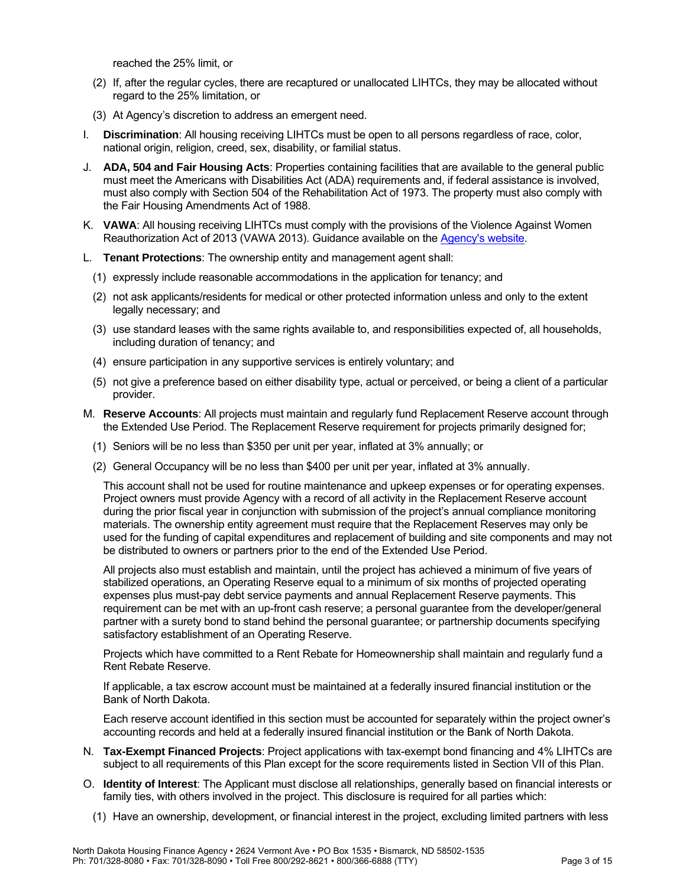reached the 25% limit, or

- (2) If, after the regular cycles, there are recaptured or unallocated LIHTCs, they may be allocated without regard to the 25% limitation, or
- (3) At Agency's discretion to address an emergent need.
- I. **Discrimination**: All housing receiving LIHTCs must be open to all persons regardless of race, color, national origin, religion, creed, sex, disability, or familial status.
- J. **ADA, 504 and Fair Housing Acts**: Properties containing facilities that are available to the general public must meet the Americans with Disabilities Act (ADA) requirements and, if federal assistance is involved, must also comply with Section 504 of the Rehabilitation Act of 1973. The property must also comply with the Fair Housing Amendments Act of 1988.
- K. **VAWA**: All housing receiving LIHTCs must comply with the provisions of the Violence Against Women Reauthorization Act of 2013 (VAWA 2013). Guidance available on the [Agency's website.](https://www.ndhfa.org/)
- L. **Tenant Protections**: The ownership entity and management agent shall:
	- (1) expressly include reasonable accommodations in the application for tenancy; and
	- (2) not ask applicants/residents for medical or other protected information unless and only to the extent legally necessary; and
	- (3) use standard leases with the same rights available to, and responsibilities expected of, all households, including duration of tenancy; and
	- (4) ensure participation in any supportive services is entirely voluntary; and
	- (5) not give a preference based on either disability type, actual or perceived, or being a client of a particular provider.
- M. **Reserve Accounts**: All projects must maintain and regularly fund Replacement Reserve account through the Extended Use Period. The Replacement Reserve requirement for projects primarily designed for;
	- (1) Seniors will be no less than \$350 per unit per year, inflated at 3% annually; or
	- (2) General Occupancy will be no less than \$400 per unit per year, inflated at 3% annually.

This account shall not be used for routine maintenance and upkeep expenses or for operating expenses. Project owners must provide Agency with a record of all activity in the Replacement Reserve account during the prior fiscal year in conjunction with submission of the project's annual compliance monitoring materials. The ownership entity agreement must require that the Replacement Reserves may only be used for the funding of capital expenditures and replacement of building and site components and may not be distributed to owners or partners prior to the end of the Extended Use Period.

All projects also must establish and maintain, until the project has achieved a minimum of five years of stabilized operations, an Operating Reserve equal to a minimum of six months of projected operating expenses plus must-pay debt service payments and annual Replacement Reserve payments. This requirement can be met with an up-front cash reserve; a personal guarantee from the developer/general partner with a surety bond to stand behind the personal guarantee; or partnership documents specifying satisfactory establishment of an Operating Reserve.

Projects which have committed to a Rent Rebate for Homeownership shall maintain and regularly fund a Rent Rebate Reserve.

If applicable, a tax escrow account must be maintained at a federally insured financial institution or the Bank of North Dakota.

Each reserve account identified in this section must be accounted for separately within the project owner's accounting records and held at a federally insured financial institution or the Bank of North Dakota.

- N. **Tax-Exempt Financed Projects**: Project applications with tax-exempt bond financing and 4% LIHTCs are subject to all requirements of this Plan except for the score requirements listed in Section VII of this Plan.
- O. **Identity of Interest**: The Applicant must disclose all relationships, generally based on financial interests or family ties, with others involved in the project. This disclosure is required for all parties which:
	- (1) Have an ownership, development, or financial interest in the project, excluding limited partners with less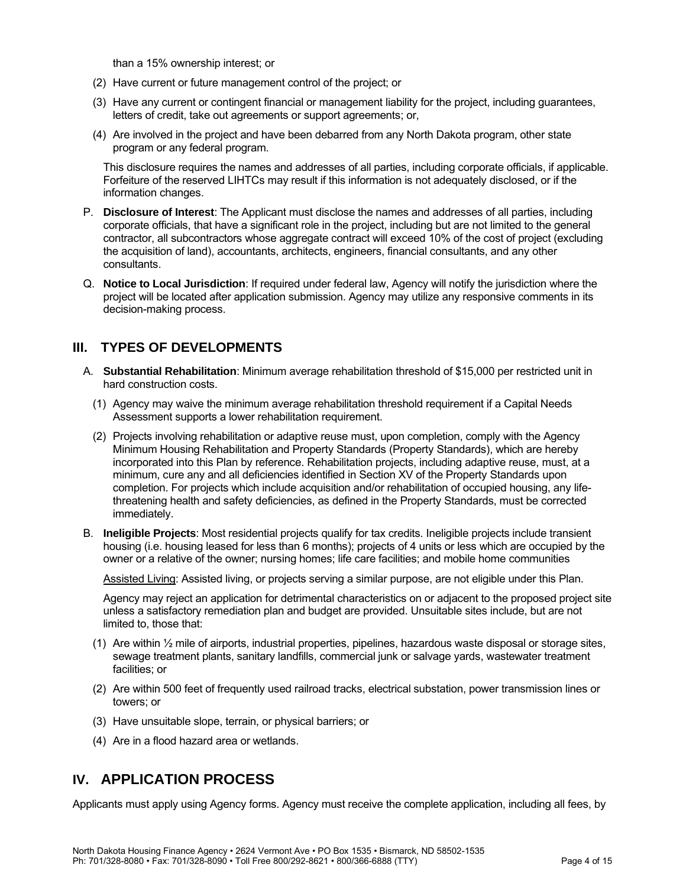than a 15% ownership interest; or

- (2) Have current or future management control of the project; or
- (3) Have any current or contingent financial or management liability for the project, including guarantees, letters of credit, take out agreements or support agreements; or,
- (4) Are involved in the project and have been debarred from any North Dakota program, other state program or any federal program.

This disclosure requires the names and addresses of all parties, including corporate officials, if applicable. Forfeiture of the reserved LIHTCs may result if this information is not adequately disclosed, or if the information changes.

- P. **Disclosure of Interest**: The Applicant must disclose the names and addresses of all parties, including corporate officials, that have a significant role in the project, including but are not limited to the general contractor, all subcontractors whose aggregate contract will exceed 10% of the cost of project (excluding the acquisition of land), accountants, architects, engineers, financial consultants, and any other consultants.
- Q. **Notice to Local Jurisdiction**: If required under federal law, Agency will notify the jurisdiction where the project will be located after application submission. Agency may utilize any responsive comments in its decision-making process.

## **III. TYPES OF DEVELOPMENTS**

- A. **Substantial Rehabilitation**: Minimum average rehabilitation threshold of \$15,000 per restricted unit in hard construction costs.
	- (1) Agency may waive the minimum average rehabilitation threshold requirement if a Capital Needs Assessment supports a lower rehabilitation requirement.
	- (2) Projects involving rehabilitation or adaptive reuse must, upon completion, comply with the Agency Minimum Housing Rehabilitation and Property Standards (Property Standards), which are hereby incorporated into this Plan by reference. Rehabilitation projects, including adaptive reuse, must, at a minimum, cure any and all deficiencies identified in Section XV of the Property Standards upon completion. For projects which include acquisition and/or rehabilitation of occupied housing, any lifethreatening health and safety deficiencies, as defined in the Property Standards, must be corrected immediately.
- B. **Ineligible Projects**: Most residential projects qualify for tax credits. Ineligible projects include transient housing (i.e. housing leased for less than 6 months); projects of 4 units or less which are occupied by the owner or a relative of the owner; nursing homes; life care facilities; and mobile home communities

Assisted Living: Assisted living, or projects serving a similar purpose, are not eligible under this Plan.

Agency may reject an application for detrimental characteristics on or adjacent to the proposed project site unless a satisfactory remediation plan and budget are provided. Unsuitable sites include, but are not limited to, those that:

- (1) Are within ½ mile of airports, industrial properties, pipelines, hazardous waste disposal or storage sites, sewage treatment plants, sanitary landfills, commercial junk or salvage yards, wastewater treatment facilities; or
- (2) Are within 500 feet of frequently used railroad tracks, electrical substation, power transmission lines or towers; or
- (3) Have unsuitable slope, terrain, or physical barriers; or
- (4) Are in a flood hazard area or wetlands.

## **IV. APPLICATION PROCESS**

Applicants must apply using Agency forms. Agency must receive the complete application, including all fees, by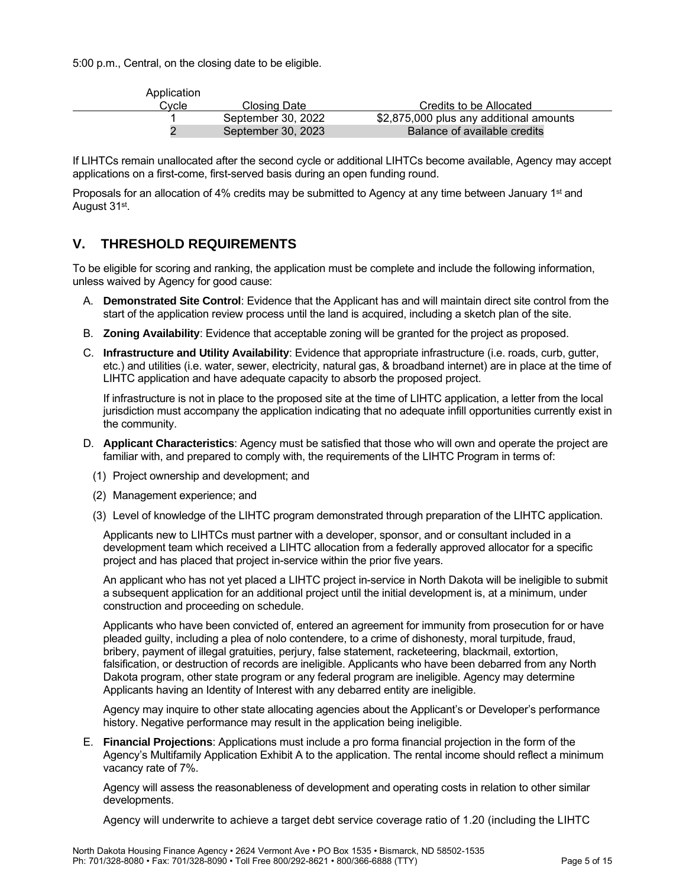5:00 p.m., Central, on the closing date to be eligible.

| Application |                    |                                         |
|-------------|--------------------|-----------------------------------------|
| Cvcle       | Closing Date       | Credits to be Allocated                 |
|             | September 30, 2022 | \$2,875,000 plus any additional amounts |
|             | September 30, 2023 | Balance of available credits            |

If LIHTCs remain unallocated after the second cycle or additional LIHTCs become available, Agency may accept applications on a first-come, first-served basis during an open funding round.

Proposals for an allocation of 4% credits may be submitted to Agency at any time between January 1<sup>st</sup> and August 31st.

## **V. THRESHOLD REQUIREMENTS**

To be eligible for scoring and ranking, the application must be complete and include the following information, unless waived by Agency for good cause:

- A. **Demonstrated Site Control**: Evidence that the Applicant has and will maintain direct site control from the start of the application review process until the land is acquired, including a sketch plan of the site.
- B. **Zoning Availability**: Evidence that acceptable zoning will be granted for the project as proposed.
- C. **Infrastructure and Utility Availability**: Evidence that appropriate infrastructure (i.e. roads, curb, gutter, etc.) and utilities (i.e. water, sewer, electricity, natural gas, & broadband internet) are in place at the time of LIHTC application and have adequate capacity to absorb the proposed project.

If infrastructure is not in place to the proposed site at the time of LIHTC application, a letter from the local jurisdiction must accompany the application indicating that no adequate infill opportunities currently exist in the community.

- D. **Applicant Characteristics**: Agency must be satisfied that those who will own and operate the project are familiar with, and prepared to comply with, the requirements of the LIHTC Program in terms of:
	- (1) Project ownership and development; and
	- (2) Management experience; and
	- (3) Level of knowledge of the LIHTC program demonstrated through preparation of the LIHTC application.

Applicants new to LIHTCs must partner with a developer, sponsor, and or consultant included in a development team which received a LIHTC allocation from a federally approved allocator for a specific project and has placed that project in-service within the prior five years.

An applicant who has not yet placed a LIHTC project in-service in North Dakota will be ineligible to submit a subsequent application for an additional project until the initial development is, at a minimum, under construction and proceeding on schedule.

Applicants who have been convicted of, entered an agreement for immunity from prosecution for or have pleaded guilty, including a plea of nolo contendere, to a crime of dishonesty, moral turpitude, fraud, bribery, payment of illegal gratuities, perjury, false statement, racketeering, blackmail, extortion, falsification, or destruction of records are ineligible. Applicants who have been debarred from any North Dakota program, other state program or any federal program are ineligible. Agency may determine Applicants having an Identity of Interest with any debarred entity are ineligible.

Agency may inquire to other state allocating agencies about the Applicant's or Developer's performance history. Negative performance may result in the application being ineligible.

E. **Financial Projections**: Applications must include a pro forma financial projection in the form of the Agency's Multifamily Application Exhibit A to the application. The rental income should reflect a minimum vacancy rate of 7%.

Agency will assess the reasonableness of development and operating costs in relation to other similar developments.

Agency will underwrite to achieve a target debt service coverage ratio of 1.20 (including the LIHTC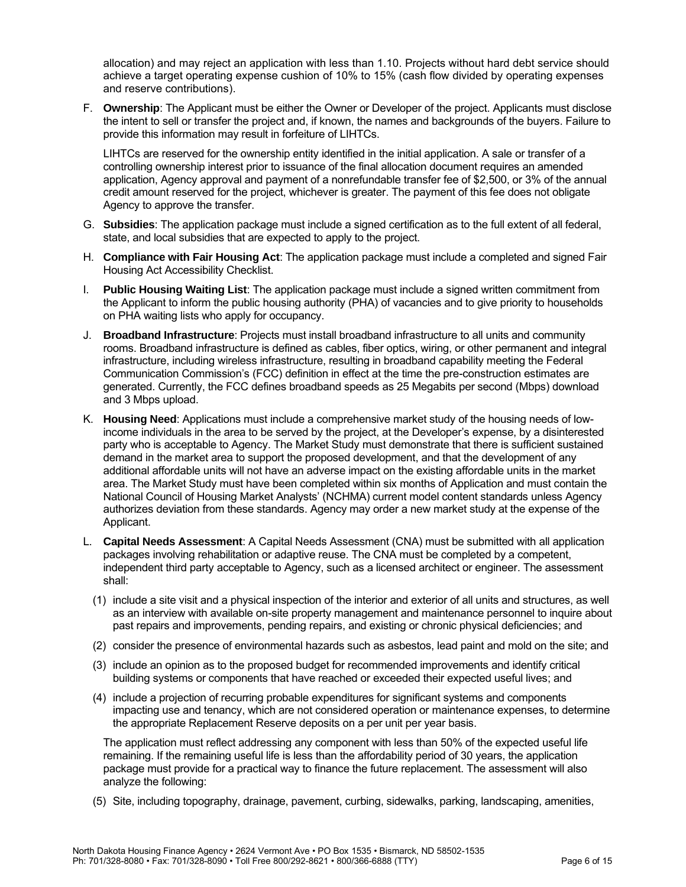allocation) and may reject an application with less than 1.10. Projects without hard debt service should achieve a target operating expense cushion of 10% to 15% (cash flow divided by operating expenses and reserve contributions).

F. **Ownership**: The Applicant must be either the Owner or Developer of the project. Applicants must disclose the intent to sell or transfer the project and, if known, the names and backgrounds of the buyers. Failure to provide this information may result in forfeiture of LIHTCs.

LIHTCs are reserved for the ownership entity identified in the initial application. A sale or transfer of a controlling ownership interest prior to issuance of the final allocation document requires an amended application, Agency approval and payment of a nonrefundable transfer fee of \$2,500, or 3% of the annual credit amount reserved for the project, whichever is greater. The payment of this fee does not obligate Agency to approve the transfer.

- G. **Subsidies**: The application package must include a signed certification as to the full extent of all federal, state, and local subsidies that are expected to apply to the project.
- H. **Compliance with Fair Housing Act**: The application package must include a completed and signed Fair Housing Act Accessibility Checklist.
- I. **Public Housing Waiting List**: The application package must include a signed written commitment from the Applicant to inform the public housing authority (PHA) of vacancies and to give priority to households on PHA waiting lists who apply for occupancy.
- J. **Broadband Infrastructure**: Projects must install broadband infrastructure to all units and community rooms. Broadband infrastructure is defined as cables, fiber optics, wiring, or other permanent and integral infrastructure, including wireless infrastructure, resulting in broadband capability meeting the Federal Communication Commission's (FCC) definition in effect at the time the pre-construction estimates are generated. Currently, the FCC defines broadband speeds as 25 Megabits per second (Mbps) download and 3 Mbps upload.
- K. **Housing Need**: Applications must include a comprehensive market study of the housing needs of lowincome individuals in the area to be served by the project, at the Developer's expense, by a disinterested party who is acceptable to Agency. The Market Study must demonstrate that there is sufficient sustained demand in the market area to support the proposed development, and that the development of any additional affordable units will not have an adverse impact on the existing affordable units in the market area. The Market Study must have been completed within six months of Application and must contain the National Council of Housing Market Analysts' (NCHMA) current model content standards unless Agency authorizes deviation from these standards. Agency may order a new market study at the expense of the Applicant.
- L. **Capital Needs Assessment**: A Capital Needs Assessment (CNA) must be submitted with all application packages involving rehabilitation or adaptive reuse. The CNA must be completed by a competent, independent third party acceptable to Agency, such as a licensed architect or engineer. The assessment shall:
	- (1) include a site visit and a physical inspection of the interior and exterior of all units and structures, as well as an interview with available on-site property management and maintenance personnel to inquire about past repairs and improvements, pending repairs, and existing or chronic physical deficiencies; and
	- (2) consider the presence of environmental hazards such as asbestos, lead paint and mold on the site; and
	- (3) include an opinion as to the proposed budget for recommended improvements and identify critical building systems or components that have reached or exceeded their expected useful lives; and
	- (4) include a projection of recurring probable expenditures for significant systems and components impacting use and tenancy, which are not considered operation or maintenance expenses, to determine the appropriate Replacement Reserve deposits on a per unit per year basis.

The application must reflect addressing any component with less than 50% of the expected useful life remaining. If the remaining useful life is less than the affordability period of 30 years, the application package must provide for a practical way to finance the future replacement. The assessment will also analyze the following:

(5) Site, including topography, drainage, pavement, curbing, sidewalks, parking, landscaping, amenities,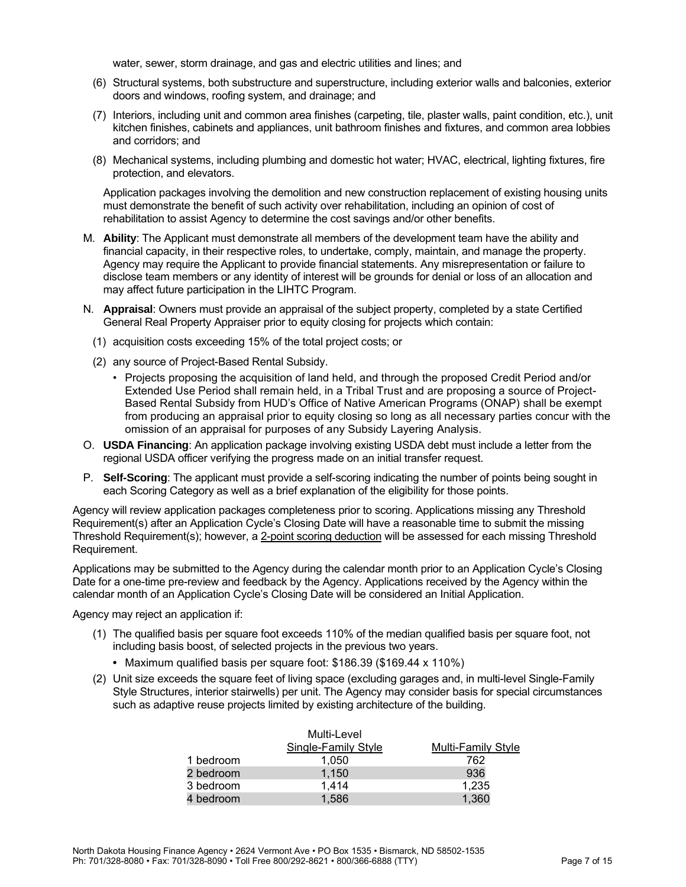water, sewer, storm drainage, and gas and electric utilities and lines; and

- (6) Structural systems, both substructure and superstructure, including exterior walls and balconies, exterior doors and windows, roofing system, and drainage; and
- (7) Interiors, including unit and common area finishes (carpeting, tile, plaster walls, paint condition, etc.), unit kitchen finishes, cabinets and appliances, unit bathroom finishes and fixtures, and common area lobbies and corridors; and
- (8) Mechanical systems, including plumbing and domestic hot water; HVAC, electrical, lighting fixtures, fire protection, and elevators.

Application packages involving the demolition and new construction replacement of existing housing units must demonstrate the benefit of such activity over rehabilitation, including an opinion of cost of rehabilitation to assist Agency to determine the cost savings and/or other benefits.

- M. **Ability**: The Applicant must demonstrate all members of the development team have the ability and financial capacity, in their respective roles, to undertake, comply, maintain, and manage the property. Agency may require the Applicant to provide financial statements. Any misrepresentation or failure to disclose team members or any identity of interest will be grounds for denial or loss of an allocation and may affect future participation in the LIHTC Program.
- N. **Appraisal**: Owners must provide an appraisal of the subject property, completed by a state Certified General Real Property Appraiser prior to equity closing for projects which contain:
	- (1) acquisition costs exceeding 15% of the total project costs; or
	- (2) any source of Project-Based Rental Subsidy.
		- Projects proposing the acquisition of land held, and through the proposed Credit Period and/or Extended Use Period shall remain held, in a Tribal Trust and are proposing a source of Project-Based Rental Subsidy from HUD's Office of Native American Programs (ONAP) shall be exempt from producing an appraisal prior to equity closing so long as all necessary parties concur with the omission of an appraisal for purposes of any Subsidy Layering Analysis.
- O. **USDA Financing**: An application package involving existing USDA debt must include a letter from the regional USDA officer verifying the progress made on an initial transfer request.
- P. **Self-Scoring**: The applicant must provide a self-scoring indicating the number of points being sought in each Scoring Category as well as a brief explanation of the eligibility for those points.

Agency will review application packages completeness prior to scoring. Applications missing any Threshold Requirement(s) after an Application Cycle's Closing Date will have a reasonable time to submit the missing Threshold Requirement(s); however, a 2-point scoring deduction will be assessed for each missing Threshold Requirement.

Applications may be submitted to the Agency during the calendar month prior to an Application Cycle's Closing Date for a one-time pre-review and feedback by the Agency. Applications received by the Agency within the calendar month of an Application Cycle's Closing Date will be considered an Initial Application.

Agency may reject an application if:

- (1) The qualified basis per square foot exceeds 110% of the median qualified basis per square foot, not including basis boost, of selected projects in the previous two years.
	- **•** Maximum qualified basis per square foot: \$186.39 (\$169.44 x 110%)
- (2) Unit size exceeds the square feet of living space (excluding garages and, in multi-level Single-Family Style Structures, interior stairwells) per unit. The Agency may consider basis for special circumstances such as adaptive reuse projects limited by existing architecture of the building.

|           | Multi-Level         |                           |
|-----------|---------------------|---------------------------|
|           | Single-Family Style | <b>Multi-Family Style</b> |
| 1 bedroom | 1,050               | 762                       |
| 2 bedroom | 1.150               | 936                       |
| 3 bedroom | 1.414               | 1,235                     |
| 4 bedroom | 1.586               | 1.360                     |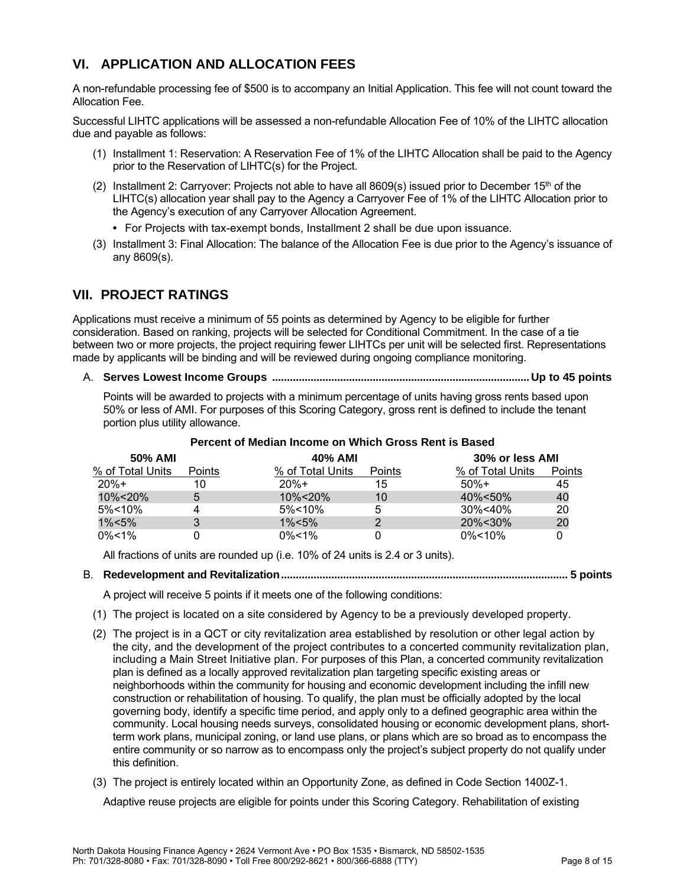## **VI. APPLICATION AND ALLOCATION FEES**

A non-refundable processing fee of \$500 is to accompany an Initial Application. This fee will not count toward the Allocation Fee.

Successful LIHTC applications will be assessed a non-refundable Allocation Fee of 10% of the LIHTC allocation due and payable as follows:

- (1) Installment 1: Reservation: A Reservation Fee of 1% of the LIHTC Allocation shall be paid to the Agency prior to the Reservation of LIHTC(s) for the Project.
- (2) Installment 2: Carryover: Projects not able to have all 8609(s) issued prior to December 15th of the LIHTC(s) allocation year shall pay to the Agency a Carryover Fee of 1% of the LIHTC Allocation prior to the Agency's execution of any Carryover Allocation Agreement.
	- **•** For Projects with tax-exempt bonds, Installment 2 shall be due upon issuance.
- (3) Installment 3: Final Allocation: The balance of the Allocation Fee is due prior to the Agency's issuance of any 8609(s).

## **VII. PROJECT RATINGS**

Applications must receive a minimum of 55 points as determined by Agency to be eligible for further consideration. Based on ranking, projects will be selected for Conditional Commitment. In the case of a tie between two or more projects, the project requiring fewer LIHTCs per unit will be selected first. Representations made by applicants will be binding and will be reviewed during ongoing compliance monitoring.

A. **Serves Lowest Income Groups .......................................................................................Up to 45 points**

Points will be awarded to projects with a minimum percentage of units having gross rents based upon 50% or less of AMI. For purposes of this Scoring Category, gross rent is defined to include the tenant portion plus utility allowance.

| 50% AMI          |               | 40% AMI          |               |                  | 30% or less AMI |  |
|------------------|---------------|------------------|---------------|------------------|-----------------|--|
| % of Total Units | <b>Points</b> | % of Total Units | <b>Points</b> | % of Total Units | Points          |  |
| $20%+$           | 10            | $20%+$           | 15            | $50%+$           | 45              |  |
| 10%<20%          | 5             | 10%<20%          | 10            | 40%<50%          | 40              |  |
| $5\% < 10\%$     | 4             | $5\% < 10\%$     | 5             | 30%<40%          | 20              |  |
| $1\% < 5\%$      |               | $1\% < 5\%$      |               | 20%<30%          | 20              |  |
| $0\%$ < 1%       |               | $0\% < 1\%$      |               | $0\%$ < 10%      |                 |  |

#### **Percent of Median Income on Which Gross Rent is Based**

All fractions of units are rounded up (i.e. 10% of 24 units is 2.4 or 3 units).

#### B. **Redevelopment and Revitalization................................................................................................. 5 points**

A project will receive 5 points if it meets one of the following conditions:

- (1) The project is located on a site considered by Agency to be a previously developed property.
- (2) The project is in a QCT or city revitalization area established by resolution or other legal action by the city, and the development of the project contributes to a concerted community revitalization plan, including a Main Street Initiative plan. For purposes of this Plan, a concerted community revitalization plan is defined as a locally approved revitalization plan targeting specific existing areas or neighborhoods within the community for housing and economic development including the infill new construction or rehabilitation of housing. To qualify, the plan must be officially adopted by the local governing body, identify a specific time period, and apply only to a defined geographic area within the community. Local housing needs surveys, consolidated housing or economic development plans, shortterm work plans, municipal zoning, or land use plans, or plans which are so broad as to encompass the entire community or so narrow as to encompass only the project's subject property do not qualify under this definition.
- (3) The project is entirely located within an Opportunity Zone, as defined in Code Section 1400Z-1.

Adaptive reuse projects are eligible for points under this Scoring Category. Rehabilitation of existing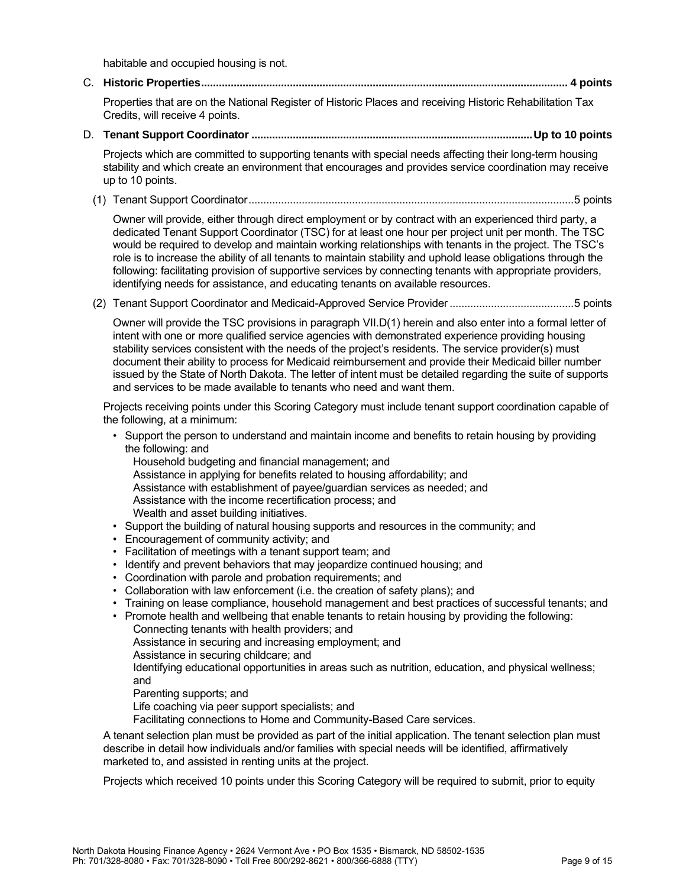habitable and occupied housing is not.

C. **Historic Properties............................................................................................................................ 4 points**

Properties that are on the National Register of Historic Places and receiving Historic Rehabilitation Tax Credits, will receive 4 points.

D. **Tenant Support Coordinator ...............................................................................................Up to 10 points**

Projects which are committed to supporting tenants with special needs affecting their long-term housing stability and which create an environment that encourages and provides service coordination may receive up to 10 points.

<span id="page-9-0"></span>(1) Tenant Support Coordinator..............................................................................................................5 points

Owner will provide, either through direct employment or by contract with an experienced third party, a dedicated Tenant Support Coordinator (TSC) for at least one hour per project unit per month. The TSC would be required to develop and maintain working relationships with tenants in the project. The TSC's role is to increase the ability of all tenants to maintain stability and uphold lease obligations through the following: facilitating provision of supportive services by connecting tenants with appropriate providers, identifying needs for assistance, and educating tenants on available resources.

(2) Tenant Support Coordinator and Medicaid-Approved Service Provider..........................................5 points

Owner will provide the TSC provisions in paragraph [VII.D\(1\)](#page-9-0) herein and also enter into a formal letter of intent with one or more qualified service agencies with demonstrated experience providing housing stability services consistent with the needs of the project's residents. The service provider(s) must document their ability to process for Medicaid reimbursement and provide their Medicaid biller number issued by the State of North Dakota. The letter of intent must be detailed regarding the suite of supports and services to be made available to tenants who need and want them.

Projects receiving points under this Scoring Category must include tenant support coordination capable of the following, at a minimum:

- Support the person to understand and maintain income and benefits to retain housing by providing the following: and
	- Household budgeting and financial management; and
	- Assistance in applying for benefits related to housing affordability; and
	- Assistance with establishment of payee/guardian services as needed; and
	- Assistance with the income recertification process; and
	- Wealth and asset building initiatives.
- Support the building of natural housing supports and resources in the community; and
- Encouragement of community activity; and
- Facilitation of meetings with a tenant support team; and
- Identify and prevent behaviors that may jeopardize continued housing; and
- Coordination with parole and probation requirements; and
- Collaboration with law enforcement (i.e. the creation of safety plans); and
- Training on lease compliance, household management and best practices of successful tenants; and
- Promote health and wellbeing that enable tenants to retain housing by providing the following:
	- Connecting tenants with health providers; and
	- Assistance in securing and increasing employment; and
	- Assistance in securing childcare; and

Identifying educational opportunities in areas such as nutrition, education, and physical wellness; and

Parenting supports; and

Life coaching via peer support specialists; and

Facilitating connections to Home and Community-Based Care services.

A tenant selection plan must be provided as part of the initial application. The tenant selection plan must describe in detail how individuals and/or families with special needs will be identified, affirmatively marketed to, and assisted in renting units at the project.

Projects which received 10 points under this Scoring Category will be required to submit, prior to equity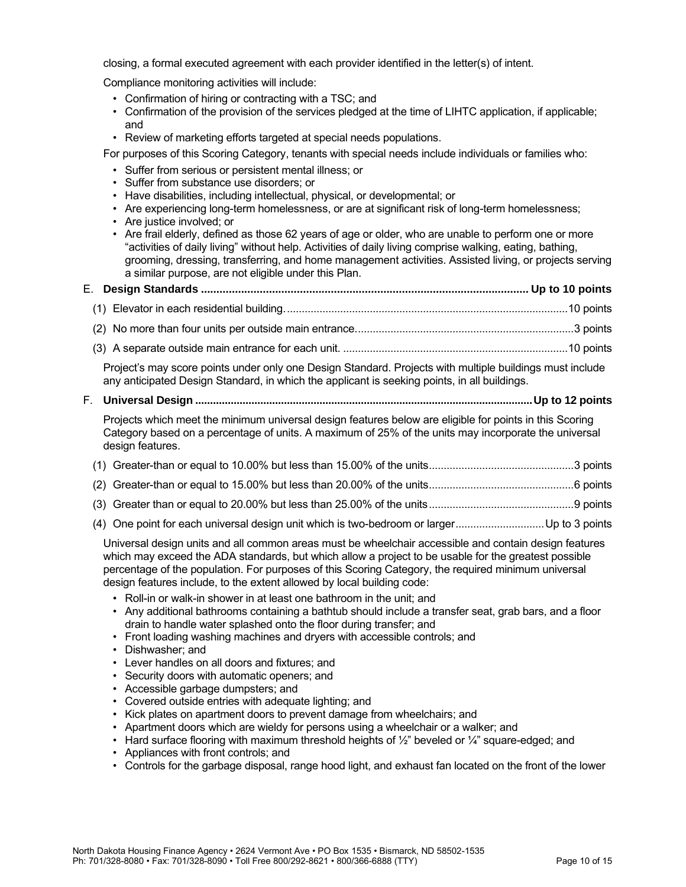closing, a formal executed agreement with each provider identified in the letter(s) of intent.

Compliance monitoring activities will include:

- Confirmation of hiring or contracting with a TSC; and
- Confirmation of the provision of the services pledged at the time of LIHTC application, if applicable; and
- Review of marketing efforts targeted at special needs populations.

For purposes of this Scoring Category, tenants with special needs include individuals or families who:

- Suffer from serious or persistent mental illness; or
- Suffer from substance use disorders; or
- Have disabilities, including intellectual, physical, or developmental; or
- Are experiencing long-term homelessness, or are at significant risk of long-term homelessness;
- Are justice involved; or
- Are frail elderly, defined as those 62 years of age or older, who are unable to perform one or more "activities of daily living" without help. Activities of daily living comprise walking, eating, bathing, grooming, dressing, transferring, and home management activities. Assisted living, or projects serving a similar purpose, are not eligible under this Plan.

## E. **Design Standards .......................................................................................................... Up to 10 points**

(1) Elevator in each residential building................................................................................................10 points

- (2) No more than four units per outside main entrance..........................................................................3 points
- (3) A separate outside main entrance for each unit. ............................................................................10 points

Project's may score points under only one Design Standard. Projects with multiple buildings must include any anticipated Design Standard, in which the applicant is seeking points, in all buildings.

#### F. **Universal Design ..................................................................................................................Up to 12 points**

Projects which meet the minimum universal design features below are eligible for points in this Scoring Category based on a percentage of units. A maximum of 25% of the units may incorporate the universal design features.

- (3) Greater than or equal to 20.00% but less than 25.00% of the units.................................................9 points
- (4) One point for each universal design unit which is two-bedroom or larger..............................Up to 3 points

Universal design units and all common areas must be wheelchair accessible and contain design features which may exceed the ADA standards, but which allow a project to be usable for the greatest possible percentage of the population. For purposes of this Scoring Category, the required minimum universal design features include, to the extent allowed by local building code:

- Roll-in or walk-in shower in at least one bathroom in the unit; and
- Any additional bathrooms containing a bathtub should include a transfer seat, grab bars, and a floor drain to handle water splashed onto the floor during transfer; and
- Front loading washing machines and dryers with accessible controls; and
- Dishwasher; and
- Lever handles on all doors and fixtures; and
- Security doors with automatic openers; and
- Accessible garbage dumpsters; and
- Covered outside entries with adequate lighting; and
- Kick plates on apartment doors to prevent damage from wheelchairs; and
- Apartment doors which are wieldy for persons using a wheelchair or a walker; and
- Hard surface flooring with maximum threshold heights of 1/2" beveled or 1/4" square-edged; and
- Appliances with front controls; and
- Controls for the garbage disposal, range hood light, and exhaust fan located on the front of the lower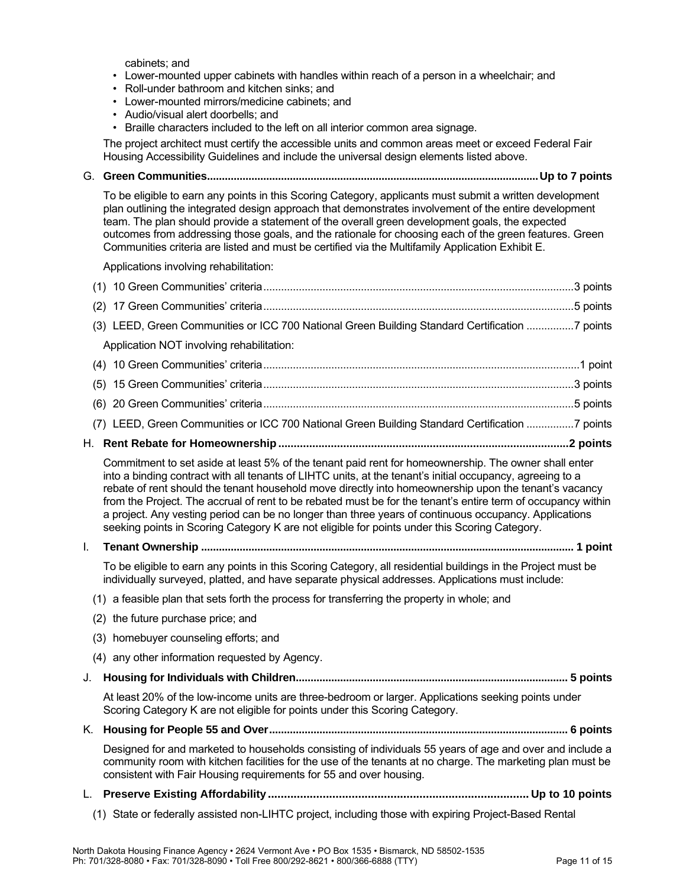cabinets; and

- Lower-mounted upper cabinets with handles within reach of a person in a wheelchair; and
- Roll-under bathroom and kitchen sinks; and
- Lower-mounted mirrors/medicine cabinets; and
- Audio/visual alert doorbells; and
- Braille characters included to the left on all interior common area signage.

The project architect must certify the accessible units and common areas meet or exceed Federal Fair Housing Accessibility Guidelines and include the universal design elements listed above.

G. **Green Communities................................................................................................................Up to 7 points**

To be eligible to earn any points in this Scoring Category, applicants must submit a written development plan outlining the integrated design approach that demonstrates involvement of the entire development team. The plan should provide a statement of the overall green development goals, the expected outcomes from addressing those goals, and the rationale for choosing each of the green features. Green Communities criteria are listed and must be certified via the Multifamily Application Exhibit E.

Applications involving rehabilitation:

<span id="page-11-0"></span>

|     | (3) LEED, Green Communities or ICC 700 National Green Building Standard Certification 7 points                                                                                                                                                                                                                                                                                                                                                                                                                                                                                                                                                       |  |
|-----|------------------------------------------------------------------------------------------------------------------------------------------------------------------------------------------------------------------------------------------------------------------------------------------------------------------------------------------------------------------------------------------------------------------------------------------------------------------------------------------------------------------------------------------------------------------------------------------------------------------------------------------------------|--|
|     | Application NOT involving rehabilitation:                                                                                                                                                                                                                                                                                                                                                                                                                                                                                                                                                                                                            |  |
|     |                                                                                                                                                                                                                                                                                                                                                                                                                                                                                                                                                                                                                                                      |  |
| (5) |                                                                                                                                                                                                                                                                                                                                                                                                                                                                                                                                                                                                                                                      |  |
|     |                                                                                                                                                                                                                                                                                                                                                                                                                                                                                                                                                                                                                                                      |  |
|     | (7) LEED, Green Communities or ICC 700 National Green Building Standard Certification 7 points                                                                                                                                                                                                                                                                                                                                                                                                                                                                                                                                                       |  |
|     |                                                                                                                                                                                                                                                                                                                                                                                                                                                                                                                                                                                                                                                      |  |
|     | Commitment to set aside at least 5% of the tenant paid rent for homeownership. The owner shall enter<br>into a binding contract with all tenants of LIHTC units, at the tenant's initial occupancy, agreeing to a<br>rebate of rent should the tenant household move directly into homeownership upon the tenant's vacancy<br>from the Project. The accrual of rent to be rebated must be for the tenant's entire term of occupancy within<br>a project. Any vesting period can be no longer than three years of continuous occupancy. Applications<br>seeking points in Scoring Category K are not eligible for points under this Scoring Category. |  |
| I.  |                                                                                                                                                                                                                                                                                                                                                                                                                                                                                                                                                                                                                                                      |  |
|     | To be eligible to earn any points in this Scoring Category, all residential buildings in the Project must be<br>individually surveyed, platted, and have separate physical addresses. Applications must include:                                                                                                                                                                                                                                                                                                                                                                                                                                     |  |
|     | (1) a feasible plan that sets forth the process for transferring the property in whole; and                                                                                                                                                                                                                                                                                                                                                                                                                                                                                                                                                          |  |
|     | (2) the future purchase price; and                                                                                                                                                                                                                                                                                                                                                                                                                                                                                                                                                                                                                   |  |
|     | (3) homebuyer counseling efforts; and                                                                                                                                                                                                                                                                                                                                                                                                                                                                                                                                                                                                                |  |
|     | (4) any other information requested by Agency.                                                                                                                                                                                                                                                                                                                                                                                                                                                                                                                                                                                                       |  |
| J.  |                                                                                                                                                                                                                                                                                                                                                                                                                                                                                                                                                                                                                                                      |  |
|     | At least 20% of the low-income units are three-bedroom or larger. Applications seeking points under<br>Scoring Category K are not eligible for points under this Scoring Category.                                                                                                                                                                                                                                                                                                                                                                                                                                                                   |  |
| K.  |                                                                                                                                                                                                                                                                                                                                                                                                                                                                                                                                                                                                                                                      |  |
|     | Designed for and marketed to households consisting of individuals 55 years of age and over and include a<br>community room with kitchen facilities for the use of the tenants at no charge. The marketing plan must be<br>consistent with Fair Housing requirements for 55 and over housing.                                                                                                                                                                                                                                                                                                                                                         |  |
|     |                                                                                                                                                                                                                                                                                                                                                                                                                                                                                                                                                                                                                                                      |  |
|     | (1) State or federally assisted non-LIHTC project, including those with expiring Project-Based Rental                                                                                                                                                                                                                                                                                                                                                                                                                                                                                                                                                |  |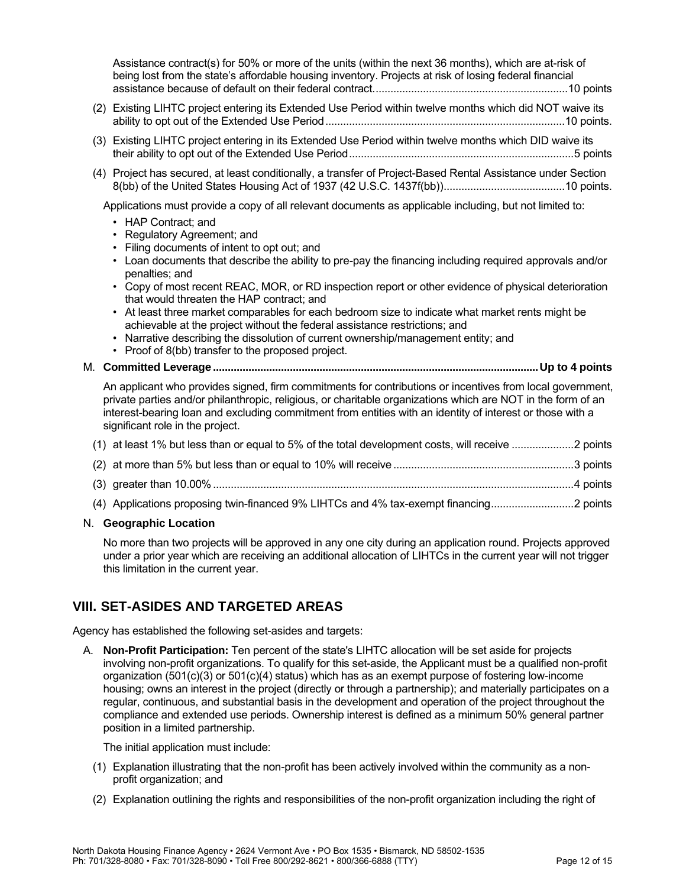Assistance contract(s) for 50% or more of the units (within the next 36 months), which are at-risk of being lost from the state's affordable housing inventory. Projects at risk of losing federal financial assistance because of default on their federal contract..................................................................10 points

- (2) Existing LIHTC project entering its Extended Use Period within twelve months which did NOT waive its ability to opt out of the Extended Use Period.................................................................................10 points.
- (3) Existing LIHTC project entering in its Extended Use Period within twelve months which DID waive its their ability to opt out of the Extended Use Period............................................................................5 points
- (4) Project has secured, at least conditionally, a transfer of Project-Based Rental Assistance under Section 8(bb) of the United States Housing Act of 1937 (42 U.S.C. 1437f(bb)).........................................10 points.

Applications must provide a copy of all relevant documents as applicable including, but not limited to:

- HAP Contract; and
- Regulatory Agreement; and
- Filing documents of intent to opt out; and
- Loan documents that describe the ability to pre-pay the financing including required approvals and/or penalties; and
- Copy of most recent REAC, MOR, or RD inspection report or other evidence of physical deterioration that would threaten the HAP contract; and
- At least three market comparables for each bedroom size to indicate what market rents might be achievable at the project without the federal assistance restrictions; and
- Narrative describing the dissolution of current ownership/management entity; and
- Proof of 8(bb) transfer to the proposed project.

#### M. **Committed Leverage ..............................................................................................................Up to 4 points**

An applicant who provides signed, firm commitments for contributions or incentives from local government, private parties and/or philanthropic, religious, or charitable organizations which are NOT in the form of an interest-bearing loan and excluding commitment from entities with an identity of interest or those with a significant role in the project.

|  |  | (1) at least 1% but less than or equal to 5% of the total development costs, will receive 2 points |  |
|--|--|----------------------------------------------------------------------------------------------------|--|
|  |  |                                                                                                    |  |

- (2) at more than 5% but less than or equal to 10% will receive .............................................................3 points
- (3) greater than 10.00%..........................................................................................................................4 points
- (4) Applications proposing twin-financed 9% LIHTCs and 4% tax-exempt financing............................2 points

#### N. **Geographic Location**

No more than two projects will be approved in any one city during an application round. Projects approved under a prior year which are receiving an additional allocation of LIHTCs in the current year will not trigger this limitation in the current year.

## **VIII. SET-ASIDES AND TARGETED AREAS**

Agency has established the following set-asides and targets:

A. **Non-Profit Participation:** Ten percent of the state's LIHTC allocation will be set aside for projects involving non-profit organizations. To qualify for this set-aside, the Applicant must be a qualified non-profit organization (501(c)(3) or 501(c)(4) status) which has as an exempt purpose of fostering low-income housing; owns an interest in the project (directly or through a partnership); and materially participates on a regular, continuous, and substantial basis in the development and operation of the project throughout the compliance and extended use periods. Ownership interest is defined as a minimum 50% general partner position in a limited partnership.

The initial application must include:

- (1) Explanation illustrating that the non-profit has been actively involved within the community as a nonprofit organization; and
- (2) Explanation outlining the rights and responsibilities of the non-profit organization including the right of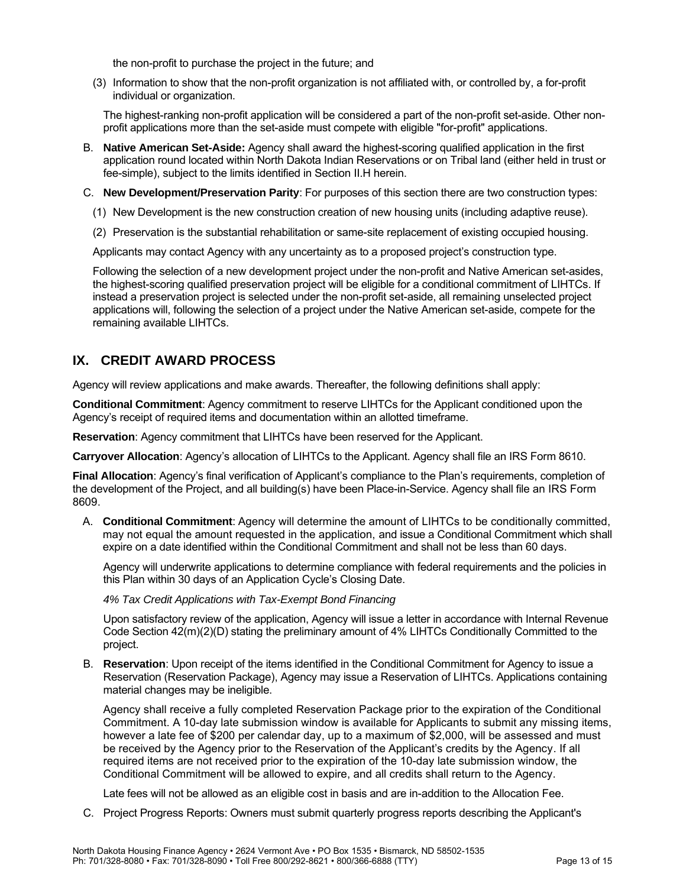the non-profit to purchase the project in the future; and

(3) Information to show that the non-profit organization is not affiliated with, or controlled by, a for-profit individual or organization.

The highest-ranking non-profit application will be considered a part of the non-profit set-aside. Other nonprofit applications more than the set-aside must compete with eligible "for-profit" applications.

- B. **Native American Set-Aside:** Agency shall award the highest-scoring qualified application in the first application round located within North Dakota Indian Reservations or on Tribal land (either held in trust or fee-simple), subject to the limits identified in Section [II.H](#page-2-0) herein.
- C. **New Development/Preservation Parity**: For purposes of this section there are two construction types:
	- (1) New Development is the new construction creation of new housing units (including adaptive reuse).
	- (2) Preservation is the substantial rehabilitation or same-site replacement of existing occupied housing.

Applicants may contact Agency with any uncertainty as to a proposed project's construction type.

Following the selection of a new development project under the non-profit and Native American set-asides, the highest-scoring qualified preservation project will be eligible for a conditional commitment of LIHTCs. If instead a preservation project is selected under the non-profit set-aside, all remaining unselected project applications will, following the selection of a project under the Native American set-aside, compete for the remaining available LIHTCs.

## **IX. CREDIT AWARD PROCESS**

Agency will review applications and make awards. Thereafter, the following definitions shall apply:

**Conditional Commitment**: Agency commitment to reserve LIHTCs for the Applicant conditioned upon the Agency's receipt of required items and documentation within an allotted timeframe.

**Reservation**: Agency commitment that LIHTCs have been reserved for the Applicant.

**Carryover Allocation**: Agency's allocation of LIHTCs to the Applicant. Agency shall file an IRS Form 8610.

**Final Allocation**: Agency's final verification of Applicant's compliance to the Plan's requirements, completion of the development of the Project, and all building(s) have been Place-in-Service. Agency shall file an IRS Form 8609.

A. **Conditional Commitment**: Agency will determine the amount of LIHTCs to be conditionally committed, may not equal the amount requested in the application, and issue a Conditional Commitment which shall expire on a date identified within the Conditional Commitment and shall not be less than 60 days.

Agency will underwrite applications to determine compliance with federal requirements and the policies in this Plan within 30 days of an Application Cycle's Closing Date.

*4% Tax Credit Applications with Tax-Exempt Bond Financing*

Upon satisfactory review of the application, Agency will issue a letter in accordance with Internal Revenue Code Section 42(m)(2)(D) stating the preliminary amount of 4% LIHTCs Conditionally Committed to the project.

B. **Reservation**: Upon receipt of the items identified in the Conditional Commitment for Agency to issue a Reservation (Reservation Package), Agency may issue a Reservation of LIHTCs. Applications containing material changes may be ineligible.

Agency shall receive a fully completed Reservation Package prior to the expiration of the Conditional Commitment. A 10-day late submission window is available for Applicants to submit any missing items, however a late fee of \$200 per calendar day, up to a maximum of \$2,000, will be assessed and must be received by the Agency prior to the Reservation of the Applicant's credits by the Agency. If all required items are not received prior to the expiration of the 10-day late submission window, the Conditional Commitment will be allowed to expire, and all credits shall return to the Agency.

Late fees will not be allowed as an eligible cost in basis and are in-addition to the Allocation Fee.

C. Project Progress Reports: Owners must submit quarterly progress reports describing the Applicant's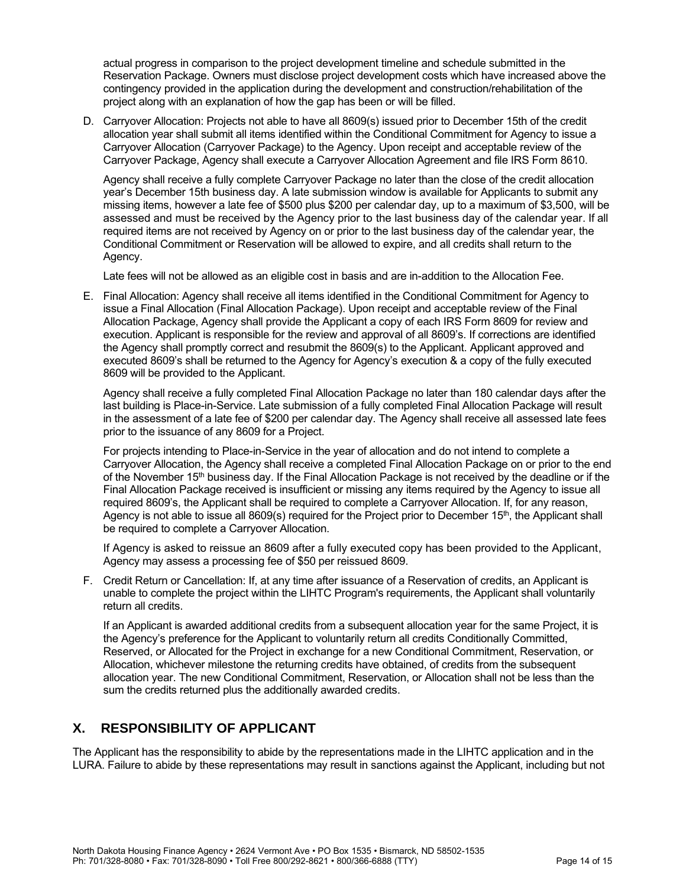actual progress in comparison to the project development timeline and schedule submitted in the Reservation Package. Owners must disclose project development costs which have increased above the contingency provided in the application during the development and construction/rehabilitation of the project along with an explanation of how the gap has been or will be filled.

D. Carryover Allocation: Projects not able to have all 8609(s) issued prior to December 15th of the credit allocation year shall submit all items identified within the Conditional Commitment for Agency to issue a Carryover Allocation (Carryover Package) to the Agency. Upon receipt and acceptable review of the Carryover Package, Agency shall execute a Carryover Allocation Agreement and file IRS Form 8610.

Agency shall receive a fully complete Carryover Package no later than the close of the credit allocation year's December 15th business day. A late submission window is available for Applicants to submit any missing items, however a late fee of \$500 plus \$200 per calendar day, up to a maximum of \$3,500, will be assessed and must be received by the Agency prior to the last business day of the calendar year. If all required items are not received by Agency on or prior to the last business day of the calendar year, the Conditional Commitment or Reservation will be allowed to expire, and all credits shall return to the Agency.

Late fees will not be allowed as an eligible cost in basis and are in-addition to the Allocation Fee.

E. Final Allocation: Agency shall receive all items identified in the Conditional Commitment for Agency to issue a Final Allocation (Final Allocation Package). Upon receipt and acceptable review of the Final Allocation Package, Agency shall provide the Applicant a copy of each IRS Form 8609 for review and execution. Applicant is responsible for the review and approval of all 8609's. If corrections are identified the Agency shall promptly correct and resubmit the 8609(s) to the Applicant. Applicant approved and executed 8609's shall be returned to the Agency for Agency's execution & a copy of the fully executed 8609 will be provided to the Applicant.

Agency shall receive a fully completed Final Allocation Package no later than 180 calendar days after the last building is Place-in-Service. Late submission of a fully completed Final Allocation Package will result in the assessment of a late fee of \$200 per calendar day. The Agency shall receive all assessed late fees prior to the issuance of any 8609 for a Project.

For projects intending to Place-in-Service in the year of allocation and do not intend to complete a Carryover Allocation, the Agency shall receive a completed Final Allocation Package on or prior to the end of the November 15<sup>th</sup> business day. If the Final Allocation Package is not received by the deadline or if the Final Allocation Package received is insufficient or missing any items required by the Agency to issue all required 8609's, the Applicant shall be required to complete a Carryover Allocation. If, for any reason, Agency is not able to issue all 8609(s) required for the Project prior to December 15<sup>th</sup>, the Applicant shall be required to complete a Carryover Allocation.

If Agency is asked to reissue an 8609 after a fully executed copy has been provided to the Applicant, Agency may assess a processing fee of \$50 per reissued 8609.

F. Credit Return or Cancellation: If, at any time after issuance of a Reservation of credits, an Applicant is unable to complete the project within the LIHTC Program's requirements, the Applicant shall voluntarily return all credits.

If an Applicant is awarded additional credits from a subsequent allocation year for the same Project, it is the Agency's preference for the Applicant to voluntarily return all credits Conditionally Committed, Reserved, or Allocated for the Project in exchange for a new Conditional Commitment, Reservation, or Allocation, whichever milestone the returning credits have obtained, of credits from the subsequent allocation year. The new Conditional Commitment, Reservation, or Allocation shall not be less than the sum the credits returned plus the additionally awarded credits.

## **X. RESPONSIBILITY OF APPLICANT**

The Applicant has the responsibility to abide by the representations made in the LIHTC application and in the LURA. Failure to abide by these representations may result in sanctions against the Applicant, including but not